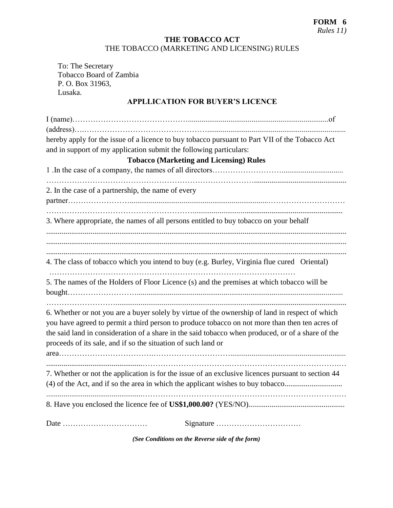## **THE TOBACCO ACT** THE TOBACCO (MARKETING AND LICENSING) RULES

To: The Secretary Tobacco Board of Zambia P. O. Box 31963, Lusaka.

# **APPLLICATION FOR BUYER'S LICENCE**

| hereby apply for the issue of a licence to buy tobacco pursuant to Part VII of the Tobacco Act                                                                                                                                                                                                                                                                          |
|-------------------------------------------------------------------------------------------------------------------------------------------------------------------------------------------------------------------------------------------------------------------------------------------------------------------------------------------------------------------------|
| and in support of my application submit the following particulars:                                                                                                                                                                                                                                                                                                      |
| <b>Tobacco (Marketing and Licensing) Rules</b>                                                                                                                                                                                                                                                                                                                          |
|                                                                                                                                                                                                                                                                                                                                                                         |
| 2. In the case of a partnership, the name of every                                                                                                                                                                                                                                                                                                                      |
| 3. Where appropriate, the names of all persons entitled to buy tobacco on your behalf                                                                                                                                                                                                                                                                                   |
| 4. The class of tobacco which you intend to buy (e.g. Burley, Virginia flue cured Oriental)                                                                                                                                                                                                                                                                             |
| 5. The names of the Holders of Floor Licence (s) and the premises at which tobacco will be                                                                                                                                                                                                                                                                              |
| 6. Whether or not you are a buyer solely by virtue of the ownership of land in respect of which<br>you have agreed to permit a third person to produce tobacco on not more than then ten acres of<br>the said land in consideration of a share in the said tobacco when produced, or of a share of the<br>proceeds of its sale, and if so the situation of such land or |
| 7. Whether or not the application is for the issue of an exclusive licences pursuant to section 44<br>(4) of the Act, and if so the area in which the applicant wishes to buy tobacco                                                                                                                                                                                   |
|                                                                                                                                                                                                                                                                                                                                                                         |
|                                                                                                                                                                                                                                                                                                                                                                         |

*(See Conditions on the Reverse side of the form)*